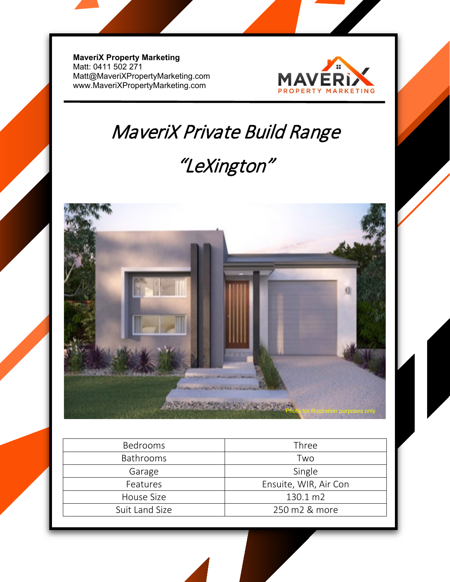**MaveriX Property Marketing** Matt: 0411 502 271 [Matt@MaveriXPropertyMarketing.com](mailto:Matt@MaveriXPropertyMarketing.com) www.MaveriXPropertyMarketing.com



# MaveriX Private Build Range

## "LeXington"



| <b>Bedrooms</b>  | Three                 |
|------------------|-----------------------|
| <b>Bathrooms</b> | Two                   |
| Garage           | Single                |
| Features         | Ensuite, WIR, Air Con |
| House Size       | 130.1 m2              |
| Suit Land Size   | 250 m2 & more         |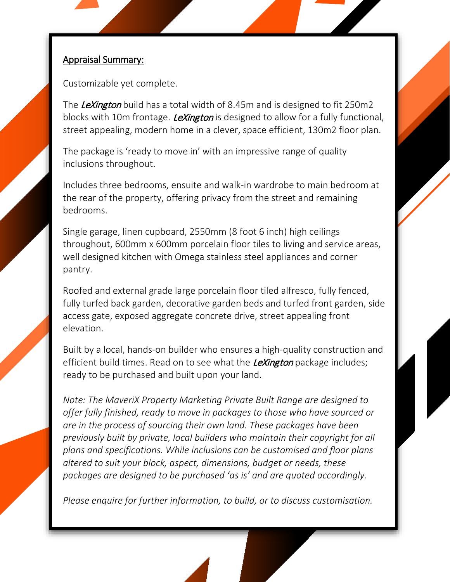#### Appraisal Summary:

Customizable yet complete.

The LeXington build has a total width of 8.45m and is designed to fit 250m2 blocks with 10m frontage. *LeXington* is designed to allow for a fully functional, street appealing, modern home in a clever, space efficient, 130m2 floor plan.

The package is 'ready to move in' with an impressive range of quality inclusions throughout.

Includes three bedrooms, ensuite and walk-in wardrobe to main bedroom at the rear of the property, offering privacy from the street and remaining bedrooms.

Single garage, linen cupboard, 2550mm (8 foot 6 inch) high ceilings throughout, 600mm x 600mm porcelain floor tiles to living and service areas, well designed kitchen with Omega stainless steel appliances and corner pantry.

Roofed and external grade large porcelain floor tiled alfresco, fully fenced, fully turfed back garden, decorative garden beds and turfed front garden, side access gate, exposed aggregate concrete drive, street appealing front elevation.

Built by a local, hands-on builder who ensures a high-quality construction and efficient build times. Read on to see what the *LeXington* package includes; ready to be purchased and built upon your land.

*Note: The MaveriX Property Marketing Private Built Range are designed to offer fully finished, ready to move in packages to those who have sourced or are in the process of sourcing their own land. These packages have been previously built by private, local builders who maintain their copyright for all plans and specifications. While inclusions can be customised and floor plans altered to suit your block, aspect, dimensions, budget or needs, these packages are designed to be purchased 'as is' and are quoted accordingly.* 

*Please enquire for further information, to build, or to discuss customisation.*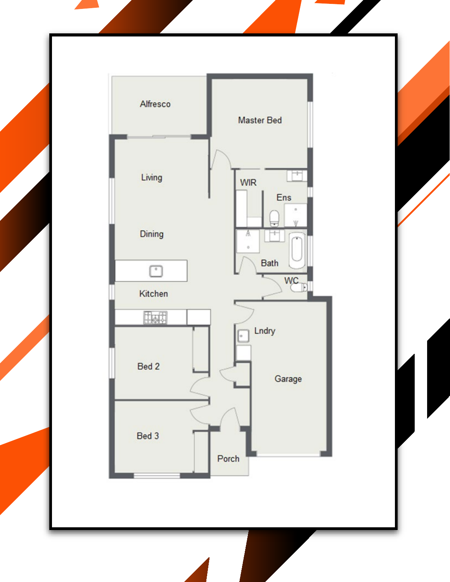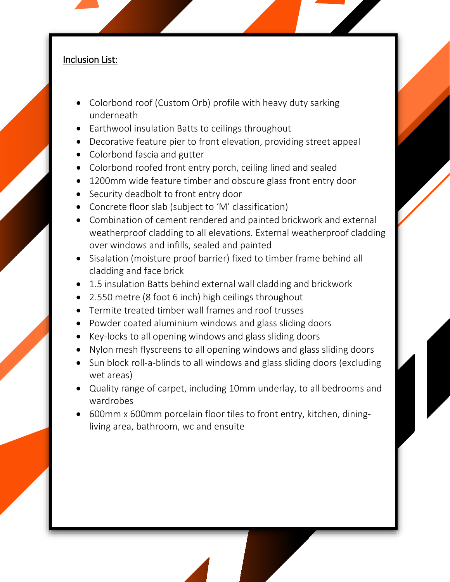#### Inclusion List:

- Colorbond roof (Custom Orb) profile with heavy duty sarking underneath
- Earthwool insulation Batts to ceilings throughout
- Decorative feature pier to front elevation, providing street appeal
- Colorbond fascia and gutter
- Colorbond roofed front entry porch, ceiling lined and sealed
- 1200mm wide feature timber and obscure glass front entry door
- Security deadbolt to front entry door
- Concrete floor slab (subject to 'M' classification)
- Combination of cement rendered and painted brickwork and external weatherproof cladding to all elevations. External weatherproof cladding over windows and infills, sealed and painted
- Sisalation (moisture proof barrier) fixed to timber frame behind all cladding and face brick
- 1.5 insulation Batts behind external wall cladding and brickwork
- 2.550 metre (8 foot 6 inch) high ceilings throughout
- Termite treated timber wall frames and roof trusses
- Powder coated aluminium windows and glass sliding doors
- Key-locks to all opening windows and glass sliding doors
- Nylon mesh flyscreens to all opening windows and glass sliding doors
- Sun block roll-a-blinds to all windows and glass sliding doors (excluding wet areas)
- Quality range of carpet, including 10mm underlay, to all bedrooms and wardrobes
- 600mm x 600mm porcelain floor tiles to front entry, kitchen, diningliving area, bathroom, wc and ensuite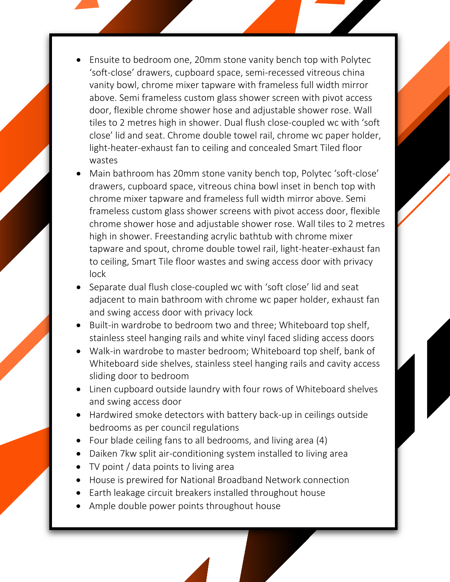- Ensuite to bedroom one, 20mm stone vanity bench top with Polytec 'soft-close' drawers, cupboard space, semi-recessed vitreous china vanity bowl, chrome mixer tapware with frameless full width mirror above. Semi frameless custom glass shower screen with pivot access door, flexible chrome shower hose and adjustable shower rose. Wall tiles to 2 metres high in shower. Dual flush close-coupled wc with 'soft close' lid and seat. Chrome double towel rail, chrome wc paper holder, light-heater-exhaust fan to ceiling and concealed Smart Tiled floor wastes
- Main bathroom has 20mm stone vanity bench top, Polytec 'soft-close' drawers, cupboard space, vitreous china bowl inset in bench top with chrome mixer tapware and frameless full width mirror above. Semi frameless custom glass shower screens with pivot access door, flexible chrome shower hose and adjustable shower rose. Wall tiles to 2 metres high in shower. Freestanding acrylic bathtub with chrome mixer tapware and spout, chrome double towel rail, light-heater-exhaust fan to ceiling, Smart Tile floor wastes and swing access door with privacy lock
- Separate dual flush close-coupled wc with 'soft close' lid and seat adjacent to main bathroom with chrome wc paper holder, exhaust fan and swing access door with privacy lock
- Built-in wardrobe to bedroom two and three; Whiteboard top shelf, stainless steel hanging rails and white vinyl faced sliding access doors
- Walk-in wardrobe to master bedroom; Whiteboard top shelf, bank of Whiteboard side shelves, stainless steel hanging rails and cavity access sliding door to bedroom
- Linen cupboard outside laundry with four rows of Whiteboard shelves and swing access door
- Hardwired smoke detectors with battery back-up in ceilings outside bedrooms as per council regulations
- Four blade ceiling fans to all bedrooms, and living area (4)
- Daiken 7kw split air-conditioning system installed to living area
- TV point / data points to living area
- House is prewired for National Broadband Network connection
- Earth leakage circuit breakers installed throughout house
- Ample double power points throughout house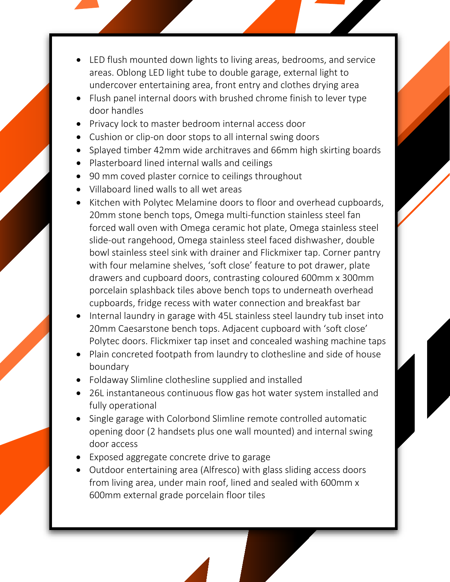- LED flush mounted down lights to living areas, bedrooms, and service areas. Oblong LED light tube to double garage, external light to undercover entertaining area, front entry and clothes drying area
- Flush panel internal doors with brushed chrome finish to lever type door handles
- Privacy lock to master bedroom internal access door
- Cushion or clip-on door stops to all internal swing doors
- Splayed timber 42mm wide architraves and 66mm high skirting boards
- Plasterboard lined internal walls and ceilings
- 90 mm coved plaster cornice to ceilings throughout
- Villaboard lined walls to all wet areas
- Kitchen with Polytec Melamine doors to floor and overhead cupboards, 20mm stone bench tops, Omega multi-function stainless steel fan forced wall oven with Omega ceramic hot plate, Omega stainless steel slide-out rangehood, Omega stainless steel faced dishwasher, double bowl stainless steel sink with drainer and Flickmixer tap. Corner pantry with four melamine shelves, 'soft close' feature to pot drawer, plate drawers and cupboard doors, contrasting coloured 600mm x 300mm porcelain splashback tiles above bench tops to underneath overhead cupboards, fridge recess with water connection and breakfast bar
- Internal laundry in garage with 45L stainless steel laundry tub inset into 20mm Caesarstone bench tops. Adjacent cupboard with 'soft close' Polytec doors. Flickmixer tap inset and concealed washing machine taps
- Plain concreted footpath from laundry to clothesline and side of house boundary
- Foldaway Slimline clothesline supplied and installed
- 26L instantaneous continuous flow gas hot water system installed and fully operational
- Single garage with Colorbond Slimline remote controlled automatic opening door (2 handsets plus one wall mounted) and internal swing door access
- Exposed aggregate concrete drive to garage
- Outdoor entertaining area (Alfresco) with glass sliding access doors from living area, under main roof, lined and sealed with 600mm x 600mm external grade porcelain floor tiles